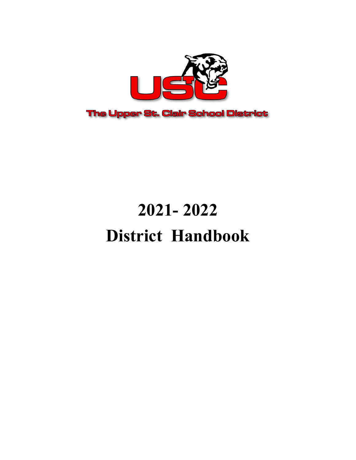

# **2021- 2022 District Handbook**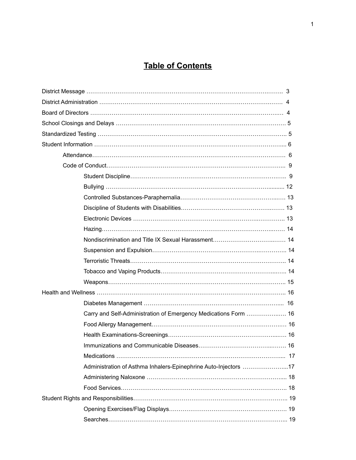# **Table of Contents**

| Carry and Self-Administration of Emergency Medications Form  16 |  |
|-----------------------------------------------------------------|--|
|                                                                 |  |
|                                                                 |  |
|                                                                 |  |
|                                                                 |  |
| Administration of Asthma Inhalers-Epinephrine Auto-Injectors 17 |  |
|                                                                 |  |
|                                                                 |  |
|                                                                 |  |
|                                                                 |  |
|                                                                 |  |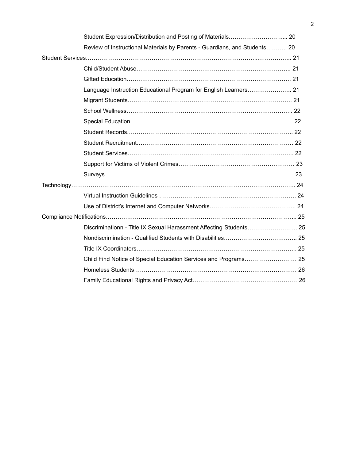| Review of Instructional Materials by Parents - Guardians, and Students 20 |  |
|---------------------------------------------------------------------------|--|
|                                                                           |  |
|                                                                           |  |
|                                                                           |  |
| Language Instruction Educational Program for English Learners 21          |  |
|                                                                           |  |
|                                                                           |  |
|                                                                           |  |
|                                                                           |  |
|                                                                           |  |
|                                                                           |  |
|                                                                           |  |
|                                                                           |  |
|                                                                           |  |
|                                                                           |  |
|                                                                           |  |
|                                                                           |  |
| Discriminationn - Title IX Sexual Harassment Affecting Students 25        |  |
|                                                                           |  |
|                                                                           |  |
|                                                                           |  |
|                                                                           |  |
|                                                                           |  |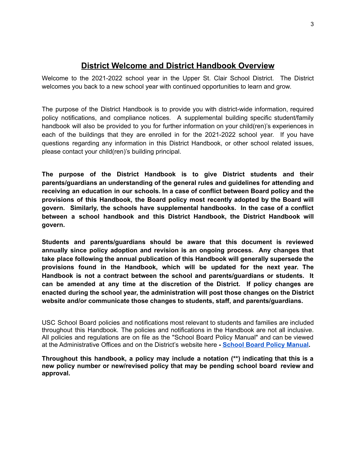# **District Welcome and District Handbook Overview**

Welcome to the 2021-2022 school year in the Upper St. Clair School District. The District welcomes you back to a new school year with continued opportunities to learn and grow.

The purpose of the District Handbook is to provide you with district-wide information, required policy notifications, and compliance notices. A supplemental building specific student/family handbook will also be provided to you for further information on your child(ren)'s experiences in each of the buildings that they are enrolled in for the 2021-2022 school year. If you have questions regarding any information in this District Handbook, or other school related issues, please contact your child(ren)'s building principal.

**The purpose of the District Handbook is to give District students and their parents/guardians an understanding of the general rules and guidelines for attending and receiving an education in our schools. In a case of conflict between Board policy and the provisions of this Handbook, the Board policy most recently adopted by the Board will govern. Similarly, the schools have supplemental handbooks. In the case of a conflict between a school handbook and this District Handbook, the District Handbook will govern.**

**Students and parents/guardians should be aware that this document is reviewed annually since policy adoption and revision is an ongoing process. Any changes that take place following the annual publication of this Handbook will generally supersede the provisions found in the Handbook, which will be updated for the next year. The Handbook is not a contract between the school and parents/guardians or students. It can be amended at any time at the discretion of the District. If policy changes are enacted during the school year, the administration will post those changes on the District website and/or communicate those changes to students, staff, and parents/guardians.**

USC School Board policies and notifications most relevant to students and families are included throughout this Handbook. The policies and notifications in the Handbook are not all inclusive. All policies and regulations are on file as the "School Board Policy Manual" and can be viewed at the Administrative Offices and on the District's website here **- School Board Policy [Manual.](https://www.uscsd.k12.pa.us/Page/12895)**

**Throughout this handbook, a policy may include a notation (\*\*) indicating that this is a new policy number or new/revised policy that may be pending school board review and approval.**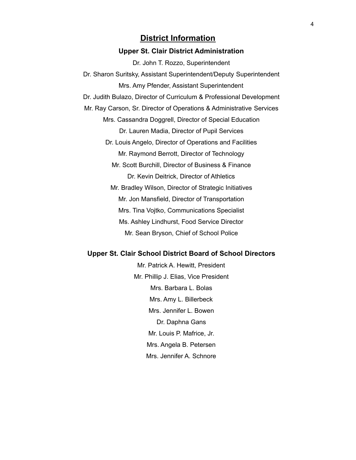#### **District Information**

#### **Upper St. Clair District Administration**

Dr. John T. Rozzo, Superintendent Dr. Sharon Suritsky, Assistant Superintendent/Deputy Superintendent Mrs. Amy Pfender, Assistant Superintendent Dr. Judith Bulazo, Director of Curriculum & Professional Development Mr. Ray Carson, Sr. Director of Operations & Administrative Services Mrs. Cassandra Doggrell, Director of Special Education Dr. Lauren Madia, Director of Pupil Services Dr. Louis Angelo, Director of Operations and Facilities Mr. Raymond Berrott, Director of Technology Mr. Scott Burchill, Director of Business & Finance Dr. Kevin Deitrick, Director of Athletics Mr. Bradley Wilson, Director of Strategic Initiatives Mr. Jon Mansfield, Director of Transportation Mrs. Tina Vojtko, Communications Specialist Ms. Ashley Lindhurst, Food Service Director Mr. Sean Bryson, Chief of School Police

#### **Upper St. Clair School District Board of School Directors**

Mr. Patrick A. Hewitt, President Mr. Phillip J. Elias, Vice President Mrs. Barbara L. Bolas Mrs. Amy L. Billerbeck Mrs. Jennifer L. Bowen Dr. Daphna Gans Mr. Louis P. Mafrice, Jr. Mrs. Angela B. Petersen Mrs. Jennifer A. Schnore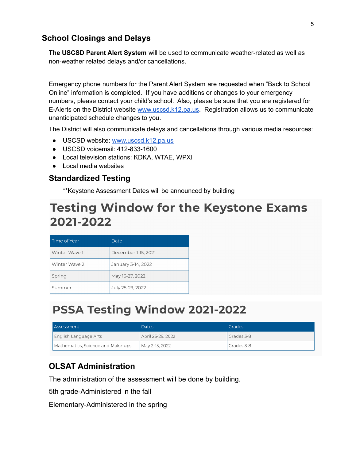# **School Closings and Delays**

**The USCSD Parent Alert System** will be used to communicate weather-related as well as non-weather related delays and/or cancellations.

Emergency phone numbers for the Parent Alert System are requested when "Back to School Online" information is completed. If you have additions or changes to your emergency numbers, please contact your child's school. Also, please be sure that you are registered for E-Alerts on the District website [www.uscsd.k12.pa.us](http://www.uscsd.k12.pa.us). Registration allows us to communicate unanticipated schedule changes to you.

The District will also communicate delays and cancellations through various media resources:

- USCSD website: [www.uscsd.k12.pa.us](http://www.uscsd.k12.pa.us)
- USCSD voicemail: 412-833-1600
- Local television stations: KDKA, WTAE, WPXI
- Local media websites

# **Standardized Testing**

\*\*Keystone Assessment Dates will be announced by building

# **Testing Window for the Keystone Exams** 2021-2022

| Time of Year  | Date                |
|---------------|---------------------|
| Winter Wave 1 | December 1-15, 2021 |
| Winter Wave 2 | January 3-14, 2022  |
| Spring        | May 16-27, 2022     |
| Summer        | July 25-29, 2022    |

# PSSA Testing Window 2021-2022

| Assessment                        | Dates             | Grades     |
|-----------------------------------|-------------------|------------|
| English Language Arts             | April 25-29, 2022 | Grades 3-8 |
| Mathematics, Science and Make-ups | May 2-13, 2022    | Grades 3-8 |

# **OLSAT Administration**

The administration of the assessment will be done by building.

5th grade-Administered in the fall

Elementary-Administered in the spring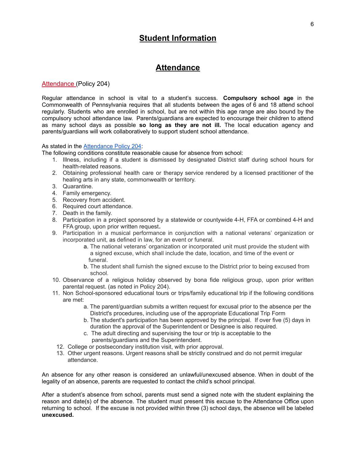# **Student Information**

## **Attendance**

#### [Attendance](https://www.uscsd.k12.pa.us/cms/lib/PA01000033/Centricity/Domain/17/204%20-%20Attendance.pdf) (Policy 204)

Regular attendance in school is vital to a student's success. **Compulsory school age** in the Commonwealth of Pennsylvania requires that all students between the ages of 6 and 18 attend school regularly. Students who are enrolled in school, but are not within this age range are also bound by the compulsory school attendance law. Parents/guardians are expected to encourage their children to attend as many school days as possible **so long as they are not ill.** The local education agency and parents/guardians will work collaboratively to support student school attendance.

#### As stated in the [Attendance](https://www.uscsd.k12.pa.us/Page/134) Policy 204:

The following conditions constitute reasonable cause for absence from school:

- 1. Illness, including if a student is dismissed by designated District staff during school hours for health-related reasons.
- 2. Obtaining professional health care or therapy service rendered by a licensed practitioner of the healing arts in any state, commonwealth or territory.
- 3. Quarantine.
- 4. Family emergency.
- 5. Recovery from accident.
- 6. Required court attendance.
- 7. Death in the family.
- 8. Participation in a project sponsored by a statewide or countywide 4-H, FFA or combined 4-H and FFA group, upon prior written request**.**
- 9. Participation in a musical performance in conjunction with a national veterans' organization or incorporated unit, as defined in law, for an event or funeral.
	- a. The national veterans' organization or incorporated unit must provide the student with a signed excuse, which shall include the date, location, and time of the event or funeral.
	- b. The student shall furnish the signed excuse to the District prior to being excused from school.
- 10. Observance of a religious holiday observed by bona fide religious group, upon prior written parental request. (as noted in Policy 204).
- 11. Non School-sponsored educational tours or trips/family educational trip if the following conditions are met:
	- a. The parent/guardian submits a written request for excusal prior to the absence per the District's procedures, including use of the appropriate Educational Trip Form
	- b. The student's participation has been approved by the principal. If over five (5) days in duration the approval of the Superintendent or Designee is also required.
	- c. The adult directing and supervising the tour or trip is acceptable to the
	- parents/guardians and the Superintendent.
	- 12. College or postsecondary institution visit, with prior approval.
	- 13. Other urgent reasons. Urgent reasons shall be strictly construed and do not permit irregular attendance.

An absence for any other reason is considered an unlawful/unexcused absence. When in doubt of the legality of an absence, parents are requested to contact the child's school principal.

After a student's absence from school, parents must send a signed note with the student explaining the reason and date(s) of the absence. The student must present this excuse to the Attendance Office upon returning to school. If the excuse is not provided within three (3) school days, the absence will be labeled **unexcused.**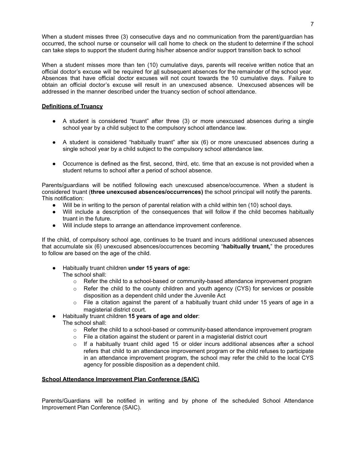When a student misses three (3) consecutive days and no communication from the parent/guardian has occurred, the school nurse or counselor will call home to check on the student to determine if the school can take steps to support the student during his/her absence and/or support transition back to school

When a student misses more than ten (10) cumulative days, parents will receive written notice that an official doctor's excuse will be required for all subsequent absences for the remainder of the school year. Absences that have official doctor excuses will not count towards the 10 cumulative days. Failure to obtain an official doctor's excuse will result in an unexcused absence. Unexcused absences will be addressed in the manner described under the truancy section of school attendance.

#### **Definitions of Truancy**

- A student is considered "truant" after three (3) or more unexcused absences during a single school year by a child subject to the compulsory school attendance law.
- A student is considered "habitually truant" after six (6) or more unexcused absences during a single school year by a child subject to the compulsory school attendance law.
- Occurrence is defined as the first, second, third, etc. time that an excuse is not provided when a student returns to school after a period of school absence.

Parents/guardians will be notified following each unexcused absence/occurrence. When a student is considered truant (**three unexcused absences/occurrences)** the school principal will notify the parents. This notification:

- Will be in writing to the person of parental relation with a child within ten (10) school days.
- Will include a description of the consequences that will follow if the child becomes habitually truant in the future.
- Will include steps to arrange an attendance improvement conference.

If the child, of compulsory school age, continues to be truant and incurs additional unexcused absences that accumulate six (6) unexcused absences/occurrences becoming "**habitually truant,**" the procedures to follow are based on the age of the child.

- Habitually truant children **under 15 years of age:** The school shall:
	- $\circ$  Refer the child to a school-based or community-based attendance improvement program
	- $\circ$  Refer the child to the county children and youth agency (CYS) for services or possible disposition as a dependent child under the Juvenile Act
	- $\circ$  File a citation against the parent of a habitually truant child under 15 years of age in a magisterial district court.
- Habitually truant children **15 years of age and older**:
	- The school shall:
		- $\circ$  Refer the child to a school-based or community-based attendance improvement program
		- $\circ$  File a citation against the student or parent in a magisterial district court
		- $\circ$  If a habitually truant child aged 15 or older incurs additional absences after a school refers that child to an attendance improvement program or the child refuses to participate in an attendance improvement program, the school may refer the child to the local CYS agency for possible disposition as a dependent child.

#### **School Attendance Improvement Plan Conference (SAIC)**

Parents/Guardians will be notified in writing and by phone of the scheduled School Attendance Improvement Plan Conference (SAIC).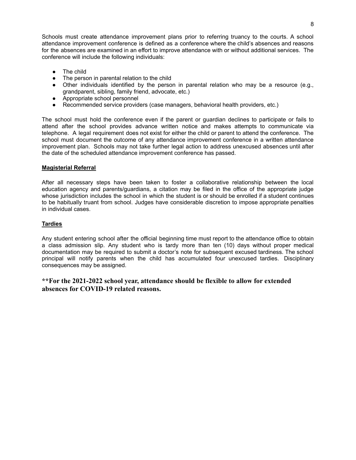Schools must create attendance improvement plans prior to referring truancy to the courts. A school attendance improvement conference is defined as a conference where the child's absences and reasons for the absences are examined in an effort to improve attendance with or without additional services. The conference will include the following individuals:

- The child
- The person in parental relation to the child
- Other individuals identified by the person in parental relation who may be a resource (e.g., grandparent, sibling, family friend, advocate, etc.)
- Appropriate school personnel
- Recommended service providers (case managers, behavioral health providers, etc.)

The school must hold the conference even if the parent or guardian declines to participate or fails to attend after the school provides advance written notice and makes attempts to communicate via telephone. A legal requirement does not exist for either the child or parent to attend the conference. The school must document the outcome of any attendance improvement conference in a written attendance improvement plan. Schools may not take further legal action to address unexcused absences until after the date of the scheduled attendance improvement conference has passed.

#### **Magisterial Referral**

After all necessary steps have been taken to foster a collaborative relationship between the local education agency and parents/guardians, a citation may be filed in the office of the appropriate judge whose jurisdiction includes the school in which the student is or should be enrolled if a student continues to be habitually truant from school. Judges have considerable discretion to impose appropriate penalties in individual cases.

#### **Tardies**

Any student entering school after the official beginning time must report to the attendance office to obtain a class admission slip. Any student who is tardy more than ten (10) days without proper medical documentation may be required to submit a doctor's note for subsequent excused tardiness. The school principal will notify parents when the child has accumulated four unexcused tardies. Disciplinary consequences may be assigned.

#### **\*\*For the 2021-2022 school year, attendance should be flexible to allow for extended absences for COVID-19 related reasons.**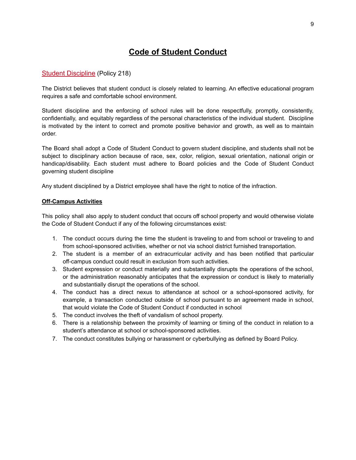# **Code of Student Conduct**

#### Student [Discipline](https://www.uscsd.k12.pa.us/cms/lib/PA01000033/Centricity/Domain/17/218%20-%20Student%20Discipline.pdf) (Policy 218)

The District believes that student conduct is closely related to learning. An effective educational program requires a safe and comfortable school environment.

Student discipline and the enforcing of school rules will be done respectfully, promptly, consistently, confidentially, and equitably regardless of the personal characteristics of the individual student. Discipline is motivated by the intent to correct and promote positive behavior and growth, as well as to maintain order.

The Board shall adopt a Code of Student Conduct to govern student discipline, and students shall not be subject to disciplinary action because of race, sex, color, religion, sexual orientation, national origin or handicap/disability. Each student must adhere to Board policies and the Code of Student Conduct governing student discipline

Any student disciplined by a District employee shall have the right to notice of the infraction.

#### **Off-Campus Activities**

This policy shall also apply to student conduct that occurs off school property and would otherwise violate the Code of Student Conduct if any of the following circumstances exist:

- 1. The conduct occurs during the time the student is traveling to and from school or traveling to and from school-sponsored activities, whether or not via school district furnished transportation.
- 2. The student is a member of an extracurricular activity and has been notified that particular off-campus conduct could result in exclusion from such activities.
- 3. Student expression or conduct materially and substantially disrupts the operations of the school, or the administration reasonably anticipates that the expression or conduct is likely to materially and substantially disrupt the operations of the school.
- 4. The conduct has a direct nexus to attendance at school or a school-sponsored activity, for example, a transaction conducted outside of school pursuant to an agreement made in school, that would violate the Code of Student Conduct if conducted in school
- 5. The conduct involves the theft of vandalism of school property.
- 6. There is a relationship between the proximity of learning or timing of the conduct in relation to a student's attendance at school or school-sponsored activities.
- 7. The conduct constitutes bullying or harassment or cyberbullying as defined by Board Policy.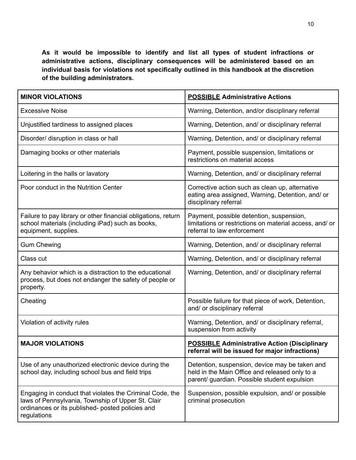**As it would be impossible to identify and list all types of student infractions or administrative actions, disciplinary consequences will be administered based on an individual basis for violations not specifically outlined in this handbook at the discretion of the building administrators.**

| <b>MINOR VIOLATIONS</b>                                                                                                                                                          | <b>POSSIBLE Administrative Actions</b>                                                                                                           |
|----------------------------------------------------------------------------------------------------------------------------------------------------------------------------------|--------------------------------------------------------------------------------------------------------------------------------------------------|
| <b>Excessive Noise</b>                                                                                                                                                           | Warning, Detention, and/or disciplinary referral                                                                                                 |
| Unjustified tardiness to assigned places                                                                                                                                         | Warning, Detention, and/ or disciplinary referral                                                                                                |
| Disorder/ disruption in class or hall                                                                                                                                            | Warning, Detention, and/ or disciplinary referral                                                                                                |
| Damaging books or other materials                                                                                                                                                | Payment, possible suspension, limitations or<br>restrictions on material access                                                                  |
| Loitering in the halls or lavatory                                                                                                                                               | Warning, Detention, and/ or disciplinary referral                                                                                                |
| Poor conduct in the Nutrition Center                                                                                                                                             | Corrective action such as clean up, alternative<br>eating area assigned, Warning, Detention, and/ or<br>disciplinary referral                    |
| Failure to pay library or other financial obligations, return<br>school materials (including iPad) such as books,<br>equipment, supplies.                                        | Payment, possible detention, suspension,<br>limitations or restrictions on material access, and/ or<br>referral to law enforcement               |
| <b>Gum Chewing</b>                                                                                                                                                               | Warning, Detention, and/ or disciplinary referral                                                                                                |
| Class cut                                                                                                                                                                        | Warning, Detention, and/ or disciplinary referral                                                                                                |
| Any behavior which is a distraction to the educational<br>process, but does not endanger the safety of people or<br>property.                                                    | Warning, Detention, and/ or disciplinary referral                                                                                                |
| Cheating                                                                                                                                                                         | Possible failure for that piece of work, Detention,<br>and/ or disciplinary referral                                                             |
| Violation of activity rules                                                                                                                                                      | Warning, Detention, and/ or disciplinary referral,<br>suspension from activity                                                                   |
| <b>MAJOR VIOLATIONS</b>                                                                                                                                                          | <b>POSSIBLE Administrative Action (Disciplinary</b><br>referral will be issued for major infractions)                                            |
| Use of any unauthorized electronic device during the<br>school day, including school bus and field trips                                                                         | Detention, suspension, device may be taken and<br>held in the Main Office and released only to a<br>parent/ guardian. Possible student expulsion |
| Engaging in conduct that violates the Criminal Code, the<br>laws of Pennsylvania, Township of Upper St. Clair<br>ordinances or its published- posted policies and<br>regulations | Suspension, possible expulsion, and/ or possible<br>criminal prosecution                                                                         |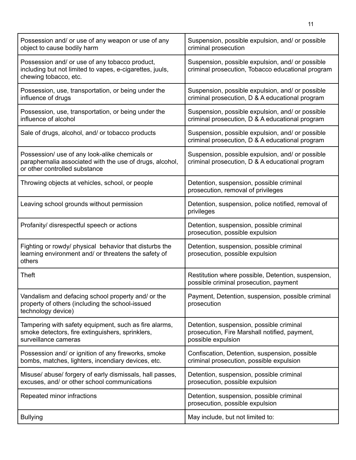| Possession and/ or use of any weapon or use of any<br>object to cause bodily harm                                                           | Suspension, possible expulsion, and/ or possible<br>criminal prosecution                                        |
|---------------------------------------------------------------------------------------------------------------------------------------------|-----------------------------------------------------------------------------------------------------------------|
| Possession and/ or use of any tobacco product,<br>including but not limited to vapes, e-cigarettes, juuls,<br>chewing tobacco, etc.         | Suspension, possible expulsion, and/ or possible<br>criminal prosecution, Tobacco educational program           |
| Possession, use, transportation, or being under the<br>influence of drugs                                                                   | Suspension, possible expulsion, and/ or possible<br>criminal prosecution, D & A educational program             |
| Possession, use, transportation, or being under the<br>influence of alcohol                                                                 | Suspension, possible expulsion, and/ or possible<br>criminal prosecution, D & A educational program             |
| Sale of drugs, alcohol, and/ or tobacco products                                                                                            | Suspension, possible expulsion, and/ or possible<br>criminal prosecution, D & A educational program             |
| Possession/ use of any look-alike chemicals or<br>paraphernalia associated with the use of drugs, alcohol,<br>or other controlled substance | Suspension, possible expulsion, and/ or possible<br>criminal prosecution, D & A educational program             |
| Throwing objects at vehicles, school, or people                                                                                             | Detention, suspension, possible criminal<br>prosecution, removal of privileges                                  |
| Leaving school grounds without permission                                                                                                   | Detention, suspension, police notified, removal of<br>privileges                                                |
| Profanity/ disrespectful speech or actions                                                                                                  | Detention, suspension, possible criminal<br>prosecution, possible expulsion                                     |
| Fighting or rowdy/ physical behavior that disturbs the<br>learning environment and/ or threatens the safety of<br>others                    | Detention, suspension, possible criminal<br>prosecution, possible expulsion                                     |
| Theft                                                                                                                                       | Restitution where possible, Detention, suspension,<br>possible criminal prosecution, payment                    |
| Vandalism and defacing school property and/ or the<br>property of others (including the school-issued<br>technology device)                 | Payment, Detention, suspension, possible criminal<br>prosecution                                                |
| Tampering with safety equipment, such as fire alarms,<br>smoke detectors, fire extinguishers, sprinklers,<br>surveillance cameras           | Detention, suspension, possible criminal<br>prosecution, Fire Marshall notified, payment,<br>possible expulsion |
| Possession and/ or ignition of any fireworks, smoke<br>bombs, matches, lighters, incendiary devices, etc.                                   | Confiscation, Detention, suspension, possible<br>criminal prosecution, possible expulsion                       |
| Misuse/ abuse/ forgery of early dismissals, hall passes,<br>excuses, and/ or other school communications                                    | Detention, suspension, possible criminal<br>prosecution, possible expulsion                                     |
| Repeated minor infractions                                                                                                                  | Detention, suspension, possible criminal<br>prosecution, possible expulsion                                     |
| <b>Bullying</b>                                                                                                                             | May include, but not limited to:                                                                                |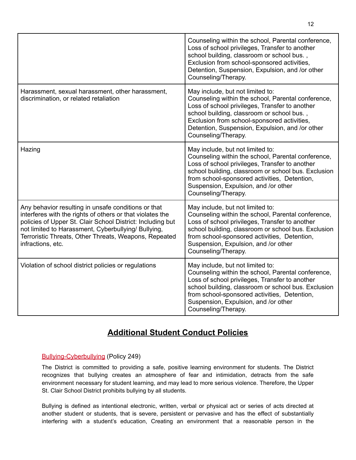|                                                                                                                                                                                                                                                                                                                     | Counseling within the school, Parental conference,<br>Loss of school privileges, Transfer to another<br>school building, classroom or school bus.,<br>Exclusion from school-sponsored activities,<br>Detention, Suspension, Expulsion, and /or other<br>Counseling/Therapy.                                     |
|---------------------------------------------------------------------------------------------------------------------------------------------------------------------------------------------------------------------------------------------------------------------------------------------------------------------|-----------------------------------------------------------------------------------------------------------------------------------------------------------------------------------------------------------------------------------------------------------------------------------------------------------------|
| Harassment, sexual harassment, other harassment,<br>discrimination, or related retaliation                                                                                                                                                                                                                          | May include, but not limited to:<br>Counseling within the school, Parental conference,<br>Loss of school privileges, Transfer to another<br>school building, classroom or school bus.,<br>Exclusion from school-sponsored activities,<br>Detention, Suspension, Expulsion, and /or other<br>Counseling/Therapy. |
| Hazing                                                                                                                                                                                                                                                                                                              | May include, but not limited to:<br>Counseling within the school, Parental conference,<br>Loss of school privileges, Transfer to another<br>school building, classroom or school bus. Exclusion<br>from school-sponsored activities, Detention,<br>Suspension, Expulsion, and /or other<br>Counseling/Therapy.  |
| Any behavior resulting in unsafe conditions or that<br>interferes with the rights of others or that violates the<br>policies of Upper St. Clair School District: Including but<br>not limited to Harassment, Cyberbullying/ Bullying,<br>Terroristic Threats, Other Threats, Weapons, Repeated<br>infractions, etc. | May include, but not limited to:<br>Counseling within the school, Parental conference,<br>Loss of school privileges, Transfer to another<br>school building, classroom or school bus. Exclusion<br>from school-sponsored activities, Detention,<br>Suspension, Expulsion, and /or other<br>Counseling/Therapy.  |
| Violation of school district policies or regulations                                                                                                                                                                                                                                                                | May include, but not limited to:<br>Counseling within the school, Parental conference,<br>Loss of school privileges, Transfer to another<br>school building, classroom or school bus. Exclusion<br>from school-sponsored activities, Detention,<br>Suspension, Expulsion, and /or other<br>Counseling/Therapy.  |

# **Additional Student Conduct Policies**

#### [Bullying-Cyberbullying](https://www.uscsd.k12.pa.us/cms/lib/PA01000033/Centricity/Domain/17/249%20-%20Bullying-Cyberbullying.pdf) (Policy 249)

The District is committed to providing a safe, positive learning environment for students. The District recognizes that bullying creates an atmosphere of fear and intimidation, detracts from the safe environment necessary for student learning, and may lead to more serious violence. Therefore, the Upper St. Clair School District prohibits bullying by all students.

Bullying is defined as intentional electronic, written, verbal or physical act or series of acts directed at another student or students, that is severe, persistent or pervasive and has the effect of substantially interfering with a student's education, Creating an environment that a reasonable person in the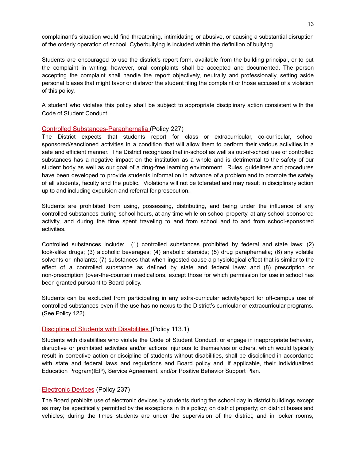complainant's situation would find threatening, intimidating or abusive, or causing a substantial disruption of the orderly operation of school. Cyberbullying is included within the definition of bullying.

Students are encouraged to use the district's report form, available from the building principal, or to put the complaint in writing; however, oral complaints shall be accepted and documented. The person accepting the complaint shall handle the report objectively, neutrally and professionally, setting aside personal biases that might favor or disfavor the student filing the complaint or those accused of a violation of this policy.

A student who violates this policy shall be subject to appropriate disciplinary action consistent with the Code of Student Conduct.

#### Controlled [Substances-Paraphernalia](https://www.uscsd.k12.pa.us/cms/lib/PA01000033/Centricity/Domain/17/227%20-%20Controlled%20Substances-Paraphernalia.pdf) (Policy 227)

The District expects that students report for class or extracurricular, co-curricular, school sponsored/sanctioned activities in a condition that will allow them to perform their various activities in a safe and efficient manner. The District recognizes that in-school as well as out-of-school use of controlled substances has a negative impact on the institution as a whole and is detrimental to the safety of our student body as well as our goal of a drug-free learning environment. Rules, guidelines and procedures have been developed to provide students information in advance of a problem and to promote the safety of all students, faculty and the public. Violations will not be tolerated and may result in disciplinary action up to and including expulsion and referral for prosecution.

Students are prohibited from using, possessing, distributing, and being under the influence of any controlled substances during school hours, at any time while on school property, at any school-sponsored activity, and during the time spent traveling to and from school and to and from school-sponsored activities.

Controlled substances include: (1) controlled substances prohibited by federal and state laws; (2) look-alike drugs; (3) alcoholic beverages; (4) anabolic steroids; (5) drug paraphernalia; (6) any volatile solvents or inhalants; (7) substances that when ingested cause a physiological effect that is similar to the effect of a controlled substance as defined by state and federal laws: and (8) prescription or non-prescription (over-the-counter) medications, except those for which permission for use in school has been granted pursuant to Board policy.

Students can be excluded from participating in any extra-curricular activity/sport for off-campus use of controlled substances even if the use has no nexus to the District's curricular or extracurricular programs. (See Policy 122).

#### Discipline of Students with [Disabilities](https://www.uscsd.k12.pa.us/cms/lib/PA01000033/Centricity/Domain/17/113.1%20-%20Discipline%20of%20Students%20with%20Disabilities.pdf) (Policy 113.1)

Students with disabilities who violate the Code of Student Conduct, or engage in inappropriate behavior, disruptive or prohibited activities and/or actions injurious to themselves or others, which would typically result in corrective action or discipline of students without disabilities, shall be disciplined in accordance with state and federal laws and regulations and Board policy and, if applicable, their Individualized Education Program(IEP), Service Agreement, and/or Positive Behavior Support Plan.

#### [Electronic](https://www.uscsd.k12.pa.us/cms/lib/PA01000033/Centricity/Domain/17/237%20-%20Electronic%20Devices.pdf) Devices (Policy 237)

The Board prohibits use of electronic devices by students during the school day in district buildings except as may be specifically permitted by the exceptions in this policy; on district property; on district buses and vehicles; during the times students are under the supervision of the district; and in locker rooms,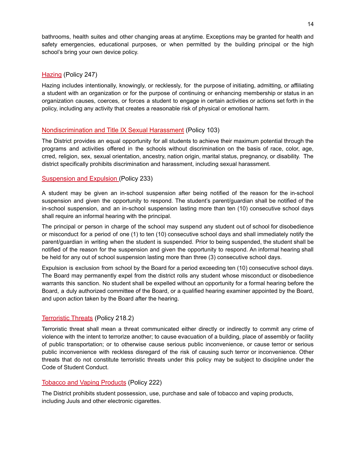bathrooms, health suites and other changing areas at anytime. Exceptions may be granted for health and safety emergencies, educational purposes, or when permitted by the building principal or the high school's bring your own device policy.

#### [Hazing](https://www.uscsd.k12.pa.us/cms/lib/PA01000033/Centricity/Domain/17/247%20-%20Hazing.pdf) (Policy 247)

Hazing includes intentionally, knowingly, or recklessly, for the purpose of initiating, admitting, or affiliating a student with an organization or for the purpose of continuing or enhancing membership or status in an organization causes, coerces, or forces a student to engage in certain activities or actions set forth in the policy, including any activity that creates a reasonable risk of physical or emotional harm.

#### [Nondiscrimination](https://www.uscsd.k12.pa.us/cms/lib/PA01000033/Centricity/Domain/17/103%20-%20Discrimination-Title%20IX%20Sexual%20Harassment%20Affecting%20Students.pdf) and Title IX Sexual Harassment (Policy 103)

The District provides an equal opportunity for all students to achieve their maximum potential through the programs and activities offered in the schools without discrimination on the basis of race, color, age, crred, religion, sex, sexual orientation, ancestry, nation origin, marital status, pregnancy, or disability. The district specifically prohibits discrimination and harassment, including sexual harassment.

#### [Suspension](https://www.uscsd.k12.pa.us/cms/lib/PA01000033/Centricity/Domain/17/233%20-%20Suspension%20and%20Expulsion.pdf) and Expulsion (Policy 233)

A student may be given an in-school suspension after being notified of the reason for the in-school suspension and given the opportunity to respond. The student's parent/guardian shall be notified of the in-school suspension, and an in-school suspension lasting more than ten (10) consecutive school days shall require an informal hearing with the principal.

The principal or person in charge of the school may suspend any student out of school for disobedience or misconduct for a period of one (1) to ten (10) consecutive school days and shall immediately notify the parent/guardian in writing when the student is suspended. Prior to being suspended, the student shall be notified of the reason for the suspension and given the opportunity to respond. An informal hearing shall be held for any out of school suspension lasting more than three (3) consecutive school days.

Expulsion is exclusion from school by the Board for a period exceeding ten (10) consecutive school days. The Board may permanently expel from the district rolls any student whose misconduct or disobedience warrants this sanction. No student shall be expelled without an opportunity for a formal hearing before the Board, a duly authorized committee of the Board, or a qualified hearing examiner appointed by the Board, and upon action taken by the Board after the hearing.

#### [Terroristic](https://www.uscsd.k12.pa.us/cms/lib/PA01000033/Centricity/Domain/17/218.2%20-%20Terroristic%20Threats.pdf) Threats (Policy 218.2)

Terroristic threat shall mean a threat communicated either directly or indirectly to commit any crime of violence with the intent to terrorize another; to cause evacuation of a building, place of assembly or facility of public transportation; or to otherwise cause serious public inconvenience, or cause terror or serious public inconvenience with reckless disregard of the risk of causing such terror or inconvenience. Other threats that do not constitute terroristic threats under this policy may be subject to discipline under the Code of Student Conduct.

#### Tobacco and Vaping [Products](https://www.uscsd.k12.pa.us/cms/lib/PA01000033/Centricity/Domain/17/222%20-%20Tobacco%20and%20Vaping%20Products.pdf) (Policy 222)

The District prohibits student possession, use, purchase and sale of tobacco and vaping products, including Juuls and other electronic cigarettes.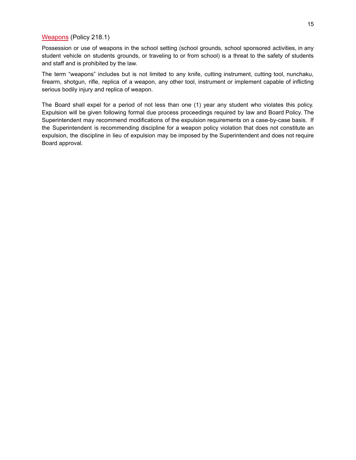#### [Weapons](https://www.uscsd.k12.pa.us/cms/lib/PA01000033/Centricity/Domain/17/218.1%20-%20Weapons.pdf) (Policy 218.1)

Possession or use of weapons in the school setting (school grounds, school sponsored activities, in any student vehicle on students grounds, or traveling to or from school) is a threat to the safety of students and staff and is prohibited by the law.

The term "weapons" includes but is not limited to any knife, cutting instrument, cutting tool, nunchaku, firearm, shotgun, rifle, replica of a weapon, any other tool, instrument or implement capable of inflicting serious bodily injury and replica of weapon.

The Board shall expel for a period of not less than one (1) year any student who violates this policy. Expulsion will be given following formal due process proceedings required by law and Board Policy. The Superintendent may recommend modifications of the expulsion requirements on a case-by-case basis. If the Superintendent is recommending discipline for a weapon policy violation that does not constitute an expulsion, the discipline in lieu of expulsion may be imposed by the Superintendent and does not require Board approval.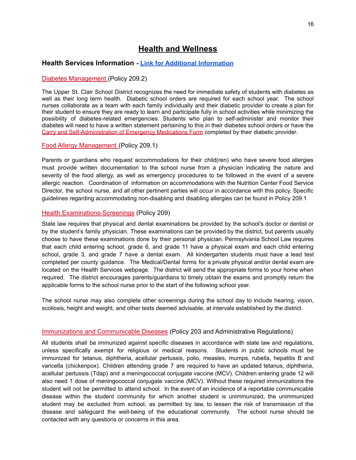# **Health and Wellness**

#### **Health Services Information - Link for Additional [Information](https://www.uscsd.k12.pa.us/Page/113)**

#### Diabetes [Management](https://www.uscsd.k12.pa.us/cms/lib/PA01000033/Centricity/Domain/17/209.2%20-%20Diabetes%20Management.pdf) (Policy 209.2)

The Upper St. Clair School District recognizes the need for immediate safety of students with diabetes as well as their long term health. Diabetic school orders are required for each school year. The school nurses collaborate as a team with each family individually and their diabetic provider to create a plan for their student to ensure they are ready to learn and participate fully in school activities while minimizing the possibility of diabetes-related emergencies. Students who plan to self-administer and monitor their diabetes will need to have a written statement pertaining to this in their diabetes school orders or have the Carry and [Self-Administration](https://www.uscsd.k12.pa.us/cms/lib/PA01000033/Centricity/Domain/17/210.1%20AR%20-%20Carry%20and%20Self-Administration%20of%20Emergency%20Medications%20Form.pdf) of Emergency Medications Form completed by their diabetic provider.

#### Food Allergy [Management](https://www.uscsd.k12.pa.us/cms/lib/PA01000033/Centricity/Domain/17/209.1%20-%20Food%20Allergy%20Management.pdf) (Policy 209.1)

Parents or guardians who request accommodations for their child(ren) who have severe food allergies must provide written documentation to the school nurse from a physician indicating the nature and severity of the food allergy, as well as emergency procedures to be followed in the event of a severe allergic reaction. Coordination of information on accommodations with the Nutrition Center Food Service Director, the school nurse, and all other pertinent parties will occur in accordance with this policy. Specific guidelines regarding accommodating non-disabling and disabling allergies can be found in Policy 209.1

#### Health [Examinations-Screenings](https://www.uscsd.k12.pa.us/cms/lib/PA01000033/Centricity/Domain/17/209%20-%20Health%20Examinations-Screenings.pdf) (Policy 209)

State law requires that physical and dental examinations be provided by the school's doctor or dentist or by the student's family physician. These examinations can be provided by the district, but parents usually choose to have these examinations done by their personal physician. Pennsylvania School Law requires that each child entering school, grade 6, and grade 11 have a physical exam and each child entering school, grade 3, and grade 7 have a dental exam. All kindergarten students must have a lead test completed per county guidance. The Medical/Dental forms for a private physical and/or dental exam are located on the Health Services webpage. The district will send the appropriate forms to your home when required. The district encourages parents/guardians to timely obtain the exams and promptly return the applicable forms to the school nurse prior to the start of the following school year.

The school nurse may also complete other screenings during the school day to include hearing, vision, scoliosis, height and weight, and other tests deemed advisable, at intervals established by the district.

#### Immunizations and [Communicable](https://www.uscsd.k12.pa.us/cms/lib/PA01000033/Centricity/Domain/17/203%20-%20Immunizations%20and%20Communicable%20Diseases.pdf) Diseases (Policy 203 and Administrative Regulations)

All students shall be immunized against specific diseases in accordance with state law and regulations, unless specifically exempt for religious or medical reasons. Students in public schools must be immunized for tetanus, diphtheria, acellular pertussis, polio, measles, mumps, rubella, hepatitis B and varicella (chickenpox). Children attending grade 7 are required to have an updated tetanus, diphtheria, acellular pertussis (Tdap) and a meningococcal conjugate vaccine (MCV). Children entering grade 12 will also need 1 dose of meningococcal conjugate vaccine (MCV). Without these required immunizations the student will not be permitted to attend school. In the event of an incidence of a reportable communicable disease within the student community for which another student is unimmunized, the unimmunized student may be excluded from school, as permitted by law, to lessen the risk of transmission of the disease and safeguard the well-being of the educational community. The school nurse should be contacted with any questions or concerns in this area.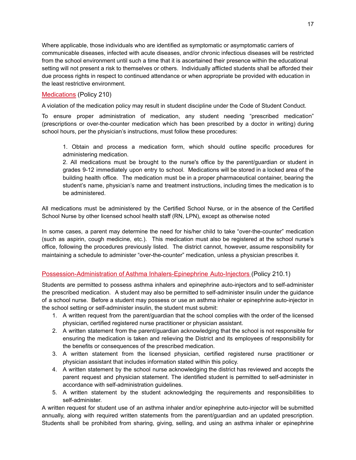Where applicable, those individuals who are identified as symptomatic or asymptomatic carriers of communicable diseases, infected with acute diseases, and/or chronic infectious diseases will be restricted from the school environment until such a time that it is ascertained their presence within the educational setting will not present a risk to themselves or others. Individually afflicted students shall be afforded their due process rights in respect to continued attendance or when appropriate be provided with education in the least restrictive environment.

#### [Medications](https://www.uscsd.k12.pa.us/cms/lib/PA01000033/Centricity/Domain/17/210%20-%20Medications.pdf) (Policy 210)

A violation of the medication policy may result in student discipline under the Code of Student Conduct.

To ensure proper administration of medication, any student needing "prescribed medication" (prescriptions or over-the-counter medication which has been prescribed by a doctor in writing) during school hours, per the physician's instructions, must follow these procedures:

1. Obtain and process a medication form, which should outline specific procedures for administering medication.

2. All medications must be brought to the nurse's office by the parent/guardian or student in grades 9-12 immediately upon entry to school. Medications will be stored in a locked area of the building health office. The medication must be in a proper pharmaceutical container, bearing the student's name, physician's name and treatment instructions, including times the medication is to be administered.

All medications must be administered by the Certified School Nurse, or in the absence of the Certified School Nurse by other licensed school health staff (RN, LPN), except as otherwise noted

In some cases, a parent may determine the need for his/her child to take "over-the-counter" medication (such as aspirin, cough medicine, etc.). This medication must also be registered at the school nurse's office, following the procedures previously listed. The district cannot, however, assume responsibility for maintaining a schedule to administer "over-the-counter" medication, unless a physician prescribes it.

#### [Possession-Administration](https://www.uscsd.k12.pa.us/cms/lib/PA01000033/Centricity/Domain/17/210.1%20-%20Possession_Administration%20of%20Asthma%20Inhalers-Epinephrine%20Auto-Injectors%20.pdf) of Asthma Inhalers-Epinephrine Auto-Injectors (Policy 210.1)

Students are permitted to possess asthma inhalers and epinephrine auto-injectors and to self-administer the prescribed medication. A student may also be permitted to self-administer insulin under the guidance of a school nurse. Before a student may possess or use an asthma inhaler or epinephrine auto-injector in the school setting or self-administer insulin, the student must submit:

- 1. A written request from the parent/guardian that the school complies with the order of the licensed physician, certified registered nurse practitioner or physician assistant.
- 2. A written statement from the parent/guardian acknowledging that the school is not responsible for ensuring the medication is taken and relieving the District and its employees of responsibility for the benefits or consequences of the prescribed medication.
- 3. A written statement from the licensed physician, certified registered nurse practitioner or physician assistant that includes information stated within this policy.
- 4. A written statement by the school nurse acknowledging the district has reviewed and accepts the parent request and physician statement. The identified student is permitted to self-administer in accordance with self-administration guidelines.
- 5. A written statement by the student acknowledging the requirements and responsibilities to self-administer.

A written request for student use of an asthma inhaler and/or epinephrine auto-injector will be submitted annually, along with required written statements from the parent/guardian and an updated prescription. Students shall be prohibited from sharing, giving, selling, and using an asthma inhaler or epinephrine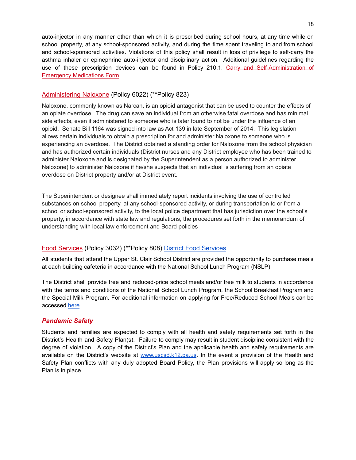auto-injector in any manner other than which it is prescribed during school hours, at any time while on school property, at any school-sponsored activity, and during the time spent traveling to and from school and school-sponsored activities. Violations of this policy shall result in loss of privilege to self-carry the asthma inhaler or epinephrine auto-injector and disciplinary action. Additional guidelines regarding the use of these prescription devices can be found in Policy 210.1. Carry and [Self-Administration](https://www.uscsd.k12.pa.us/cms/lib/PA01000033/Centricity/Domain/17/210.1%20AR%20-%20Carry%20and%20Self-Administration%20of%20Emergency%20Medications%20Form.pdf) of Emergency [Medications](https://www.uscsd.k12.pa.us/cms/lib/PA01000033/Centricity/Domain/17/210.1%20AR%20-%20Carry%20and%20Self-Administration%20of%20Emergency%20Medications%20Form.pdf) Form

#### [Administering](https://www.uscsd.k12.pa.us/cms/lib/PA01000033/Centricity/Domain/17/Policy%206022%20-%20Administering%20Naloxone.pdf) Naloxone (Policy 6022) (\*\*Policy 823)

Naloxone, commonly known as Narcan, is an opioid antagonist that can be used to counter the effects of an opiate overdose. The drug can save an individual from an otherwise fatal overdose and has minimal side effects, even if administered to someone who is later found to not be under the influence of an opioid. Senate Bill 1164 was signed into law as Act 139 in late September of 2014. This legislation allows certain individuals to obtain a prescription for and administer Naloxone to someone who is experiencing an overdose. The District obtained a standing order for Naloxone from the school physician and has authorized certain individuals (District nurses and any District employee who has been trained to administer Naloxone and is designated by the Superintendent as a person authorized to administer Naloxone) to administer Naloxone if he/she suspects that an individual is suffering from an opiate overdose on District property and/or at District event.

The Superintendent or designee shall immediately report incidents involving the use of controlled substances on school property, at any school-sponsored activity, or during transportation to or from a school or school-sponsored activity, to the local police department that has jurisdiction over the school's property, in accordance with state law and regulations, the procedures set forth in the memorandum of understanding with local law enforcement and Board policies

#### Food [Services](https://www.uscsd.k12.pa.us/cms/lib/PA01000033/Centricity/Domain/17/3032%20-%20Food%20Services.pdf) (Policy 3032) (\*\*Policy 808) District Food [Services](https://www.uscsd.k12.pa.us/Domain/7)

All students that attend the Upper St. Clair School District are provided the opportunity to purchase meals at each building cafeteria in accordance with the National School Lunch Program (NSLP).

The District shall provide free and reduced-price school meals and/or free milk to students in accordance with the terms and conditions of the National School Lunch Program, the School Breakfast Program and the Special Milk Program. For additional information on applying for Free/Reduced School Meals can be accessed [here](https://www.uscsd.k12.pa.us/Page/11203).

#### *Pandemic Safety*

Students and families are expected to comply with all health and safety requirements set forth in the District's Health and Safety Plan(s). Failure to comply may result in student discipline consistent with the degree of violation. A copy of the District's Plan and the applicable health and safety requirements are available on the District's website at [www.uscsd.k12.pa.us](http://www.uscsd.k12.pa.us). In the event a provision of the Health and Safety Plan conflicts with any duly adopted Board Policy, the Plan provisions will apply so long as the Plan is in place.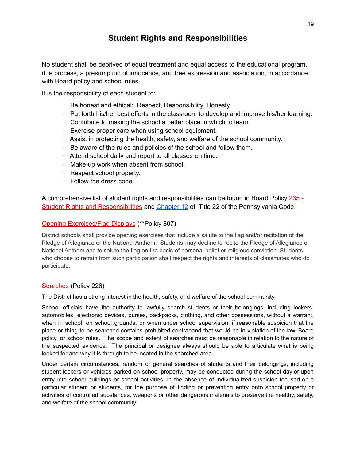# **Student Rights and Responsibilities**

No student shall be deprived of equal treatment and equal access to the educational program, due process, a presumption of innocence, and free expression and association, in accordance with Board policy and school rules.

It is the responsibility of each student to:

- · Be honest and ethical: Respect, Responsibility, Honesty.
- · Put forth his/her best efforts in the classroom to develop and improve his/her learning.
- · Contribute to making the school a better place in which to learn.
- · Exercise proper care when using school equipment.
- · Assist in protecting the health, safety, and welfare of the school community.
- · Be aware of the rules and policies of the school and follow them.
- · Attend school daily and report to all classes on time.
- · Make-up work when absent from school.
- · Respect school property.
- · Follow the dress code.

A comprehensive list of student rights and responsibilities can be found in Board Policy [235](https://www.uscsd.k12.pa.us/cms/lib/PA01000033/Centricity/Domain/17/235%20-%20Student%20Rights%20and%20Responsibilities.pdf) -Student Rights and [Responsibilities](https://www.uscsd.k12.pa.us/cms/lib/PA01000033/Centricity/Domain/17/235%20-%20Student%20Rights%20and%20Responsibilities.pdf) and [Chapter](http://www.pacodeandbulletin.gov/Display/pacode?file=/secure/pacode/data/022/chapter12/chap12toc.html&d=) 12 of Title 22 of the Pennsylvania Code.

#### Opening Exercises/Flag Displays (\*\*Policy 807)

District schools shall provide opening exercises that include a salute to the flag and/or recitation of the Pledge of Allegiance or the National Anthem. Students may decline to recite the Pledge of Allegiance or National Anthem and to salute the flag on the basis of personal belief or religious conviction. Students who choose to refrain from such participation shall respect the rights and interests of classmates who do participate.

#### [Searches](https://www.uscsd.k12.pa.us/cms/lib/PA01000033/Centricity/Domain/17/226%20-%20Searches.pdf) (Policy 226)

The District has a strong interest in the health, safety, and welfare of the school community.

School officials have the authority to lawfully search students or their belongings, including lockers, automobiles, electronic devices, purses, backpacks, clothing, and other possessions, without a warrant, when in school, on school grounds, or when under school supervision, if reasonable suspicion that the place or thing to be searched contains prohibited contraband that would be in violation of the law, Board policy, or school rules. The scope and extent of searches must be reasonable in relation to the nature of the suspected evidence. The principal or designee always should be able to articulate what is being looked for and why it is through to be located in the searched area.

Under certain circumstances, random or general searches of students and their belongings, including student lockers or vehicles parked on school property, may be conducted during the school day or upon entry into school buildings or school activities, in the absence of individualized suspicion focused on a particular student or students, for the purpose of finding or preventing entry onto school property or activities of controlled substances, weapons or other dangerous materials to preserve the healthy, safety, and welfare of the school community.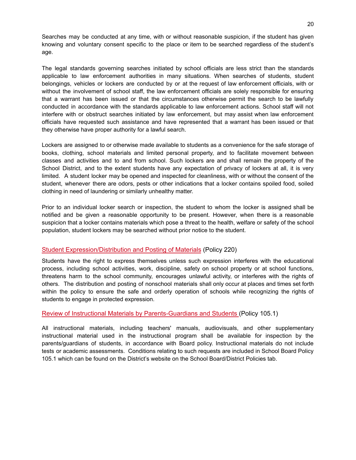Searches may be conducted at any time, with or without reasonable suspicion, if the student has given knowing and voluntary consent specific to the place or item to be searched regardless of the student's age.

The legal standards governing searches initiated by school officials are less strict than the standards applicable to law enforcement authorities in many situations. When searches of students, student belongings, vehicles or lockers are conducted by or at the request of law enforcement officials, with or without the involvement of school staff, the law enforcement officials are solely responsible for ensuring that a warrant has been issued or that the circumstances otherwise permit the search to be lawfully conducted in accordance with the standards applicable to law enforcement actions. School staff will not interfere with or obstruct searches initiated by law enforcement, but may assist when law enforcement officials have requested such assistance and have represented that a warrant has been issued or that they otherwise have proper authority for a lawful search.

Lockers are assigned to or otherwise made available to students as a convenience for the safe storage of books, clothing, school materials and limited personal property, and to facilitate movement between classes and activities and to and from school. Such lockers are and shall remain the property of the School District, and to the extent students have any expectation of privacy of lockers at all, it is very limited. A student locker may be opened and inspected for cleanliness, with or without the consent of the student, whenever there are odors, pests or other indications that a locker contains spoiled food, soiled clothing in need of laundering or similarly unhealthy matter.

Prior to an individual locker search or inspection, the student to whom the locker is assigned shall be notified and be given a reasonable opportunity to be present. However, when there is a reasonable suspicion that a locker contains materials which pose a threat to the health, welfare or safety of the school population, student lockers may be searched without prior notice to the student.

#### Student [Expression/Distribution](https://www.uscsd.k12.pa.us/cms/lib/PA01000033/Centricity/Domain/17/220%20-%20Student%20Expression-Distribution%20and%20Posting%20of%20Materials.pdf) and Posting of Materials (Policy 220)

Students have the right to express themselves unless such expression interferes with the educational process, including school activities, work, discipline, safety on school property or at school functions, threatens harm to the school community, encourages unlawful activity, or interferes with the rights of others. The distribution and posting of nonschool materials shall only occur at places and times set forth within the policy to ensure the safe and orderly operation of schools while recognizing the rights of students to engage in protected expression.

#### Review of Instructional Materials by [Parents-Guardians](https://www.uscsd.k12.pa.us/cms/lib/PA01000033/Centricity/Domain/17/105.1%20-%20Review%20of%20Instructional%20Materials%20by%20Parents-Guardians%20and%20Students.pdf) and Students (Policy 105.1)

All instructional materials, including teachers' manuals, audiovisuals, and other supplementary instructional material used in the instructional program shall be available for inspection by the parents/guardians of students, in accordance with Board policy. Instructional materials do not include tests or academic assessments. Conditions relating to such requests are included in School Board Policy 105.1 which can be found on the District's website on the School Board/District Policies tab.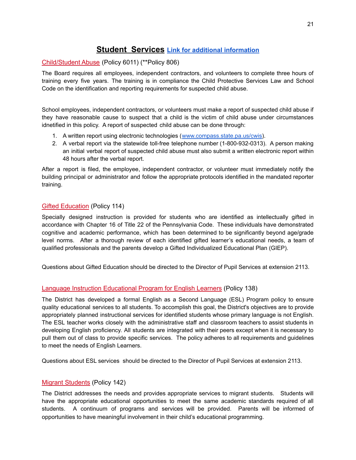# **Student Services Link for additional [information](https://www.uscsd.k12.pa.us/Domain/991)**

#### [Child/Student](https://www.uscsd.k12.pa.us/cms/lib/PA01000033/Centricity/Domain/17/6011%20-%20Child-Student%20Abuse%20Policy.pdf) Abuse (Policy 6011) (\*\*Policy 806)

The Board requires all employees, independent contractors, and volunteers to complete three hours of training every five years. The training is in compliance the Child Protective Services Law and School Code on the identification and reporting requirements for suspected child abuse.

School employees, independent contractors, or volunteers must make a report of suspected child abuse if they have reasonable cause to suspect that a child is the victim of child abuse under circumstances idnetified in this policy. A report of suspected child abuse can be done through:

- 1. A written report using electronic technologies ([www.compass.state.pa.us/cwis\)](http://www.compass.state.pa.us/cwis).
- 2. A verbal report via the statewide toll-free telephone number (1-800-932-0313). A person making an initial verbal report of suspected child abuse must also submit a written electronic report within 48 hours after the verbal report.

After a report is filed, the employee, independent contractor, or volunteer must immediately notify the building principal or administrator and follow the appropriate protocols identified in the mandated reporter training.

#### Gifted [Education](https://www.uscsd.k12.pa.us/cms/lib/PA01000033/Centricity/Domain/17/114%20-%20Gifted%20Education.pdf) (Policy 114)

Specially designed instruction is provided for students who are identified as intellectually gifted in accordance with Chapter 16 of Title 22 of the Pennsylvania Code. These individuals have demonstrated cognitive and academic performance, which has been determined to be significantly beyond age/grade level norms. After a thorough review of each identified gifted learner's educational needs, a team of qualified professionals and the parents develop a Gifted Individualized Educational Plan (GIEP).

Questions about Gifted Education should be directed to the Director of Pupil Services at extension 2113.

#### Language Instruction [Educational](https://www.uscsd.k12.pa.us/cms/lib/PA01000033/Centricity/Domain/17/138%20-%20Language%20Instruction%20Educational%20Program%20for%20English%20Learners.pdf) Program for English Learners (Policy 138)

The District has developed a formal English as a Second Language (ESL) Program policy to ensure quality educational services to all students. To accomplish this goal, the District's objectives are to provide appropriately planned instructional services for identified students whose primary language is not English. The ESL teacher works closely with the administrative staff and classroom teachers to assist students in developing English proficiency. All students are integrated with their peers except when it is necessary to pull them out of class to provide specific services. The policy adheres to all requirements and guidelines to meet the needs of English Learners.

Questions about ESL services should be directed to the Director of Pupil Services at extension 2113.

#### **Migrant [Students](https://www.uscsd.k12.pa.us/cms/lib/PA01000033/Centricity/Domain/17/142%20-%20Migrant%20Students.pdf) (Policy 142)**

The District addresses the needs and provides appropriate services to migrant students. Students will have the appropriate educational opportunities to meet the same academic standards required of all students. A continuum of programs and services will be provided. Parents will be informed of opportunities to have meaningful involvement in their child's educational programming.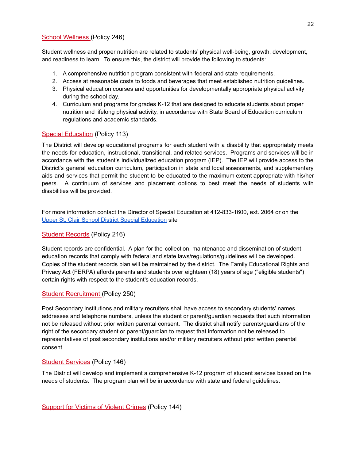#### School [Wellness](https://www.uscsd.k12.pa.us/cms/lib/PA01000033/Centricity/Domain/17/246%20-%20School%20Wellness.pdf) (Policy 246)

Student wellness and proper nutrition are related to students' physical well-being, growth, development, and readiness to learn. To ensure this, the district will provide the following to students:

- 1. A comprehensive nutrition program consistent with federal and state requirements.
- 2. Access at reasonable costs to foods and beverages that meet established nutrition guidelines.
- 3. Physical education courses and opportunities for developmentally appropriate physical activity during the school day.
- 4. Curriculum and programs for grades K-12 that are designed to educate students about proper nutrition and lifelong physical activity, in accordance with State Board of Education curriculum regulations and academic standards.

#### Special [Education](https://www.uscsd.k12.pa.us/cms/lib/PA01000033/Centricity/Domain/17/113%20-%20Special%20Education.pdf) (Policy 113)

The District will develop educational programs for each student with a disability that appropriately meets the needs for education, instructional, transitional, and related services. Programs and services will be in accordance with the student's individualized education program (IEP). The IEP will provide access to the District's general education curriculum, participation in state and local assessments, and supplementary aids and services that permit the student to be educated to the maximum extent appropriate with his/her peers. A continuum of services and placement options to best meet the needs of students with disabilities will be provided.

For more information contact the Director of Special Education at 412-833-1600, ext. 2064 or on the Upper St. Clair School District Special [Education](https://www.uscsd.k12.pa.us/Domain/9) site

#### Student [Records](https://www.uscsd.k12.pa.us/cms/lib/PA01000033/Centricity/Domain/17/216%20-%20Student%20Records.pdf) (Policy 216)

Student records are confidential. A plan for the collection, maintenance and dissemination of student education records that comply with federal and state laws/regulations/guidelines will be developed. Copies of the student records plan will be maintained by the district. The Family Educational Rights and Privacy Act (FERPA) affords parents and students over eighteen (18) years of age ("eligible students") certain rights with respect to the student's education records.

#### Student [Recruitment](https://www.uscsd.k12.pa.us/cms/lib/PA01000033/Centricity/Domain/17/250%20-%20Student%20Recruitment.pdf) (Policy 250)

Post Secondary institutions and military recruiters shall have access to secondary students' names, addresses and telephone numbers, unless the student or parent/guardian requests that such information not be released without prior written parental consent. The district shall notify parents/guardians of the right of the secondary student or parent/guardian to request that information not be released to representatives of post secondary institutions and/or military recruiters without prior written parental consent.

#### Student [Services](https://www.uscsd.k12.pa.us/cms/lib/PA01000033/Centricity/Domain/17/146%20-%20Student%20Services.pdf) (Policy 146)

The District will develop and implement a comprehensive K-12 program of student services based on the needs of students. The program plan will be in accordance with state and federal guidelines.

[Support](https://www.uscsd.k12.pa.us/cms/lib/PA01000033/Centricity/Domain/17/144%20-%20Support%20for%20Victims%20of%20Violent%20Crimes.pdf) for Victims of Violent Crimes (Policy 144)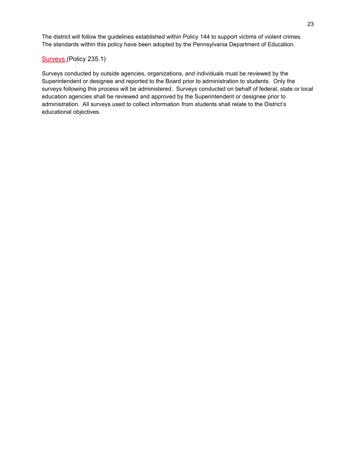The district will follow the guidelines established within Policy 144 to support victims of violent crimes. The standards within this policy have been adopted by the Pennsylvania Department of Education.

#### [Surveys](https://www.uscsd.k12.pa.us/cms/lib/PA01000033/Centricity/Domain/17/235.1%20-%20Surveys.pdf) (Policy 235.1)

Surveys conducted by outside agencies, organizations, and individuals must be reviewed by the Superintendent or designee and reported to the Board prior to administration to students. Only the surveys following this process will be administered. Surveys conducted on behalf of federal, state or local education agencies shall be reviewed and approved by the Superintendent or designee prior to administration. All surveys used to collect information from students shall relate to the District's educational objectives.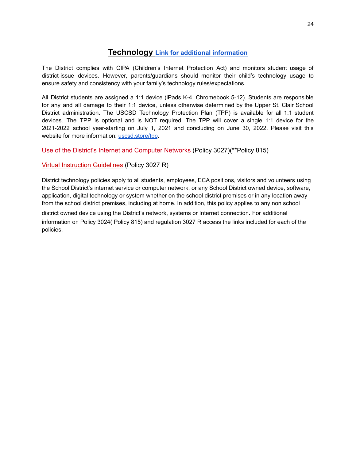## **Technology Link for additional [information](https://www.uscsd.k12.pa.us/Domain/870)**

The District complies with CIPA (Children's Internet Protection Act) and monitors student usage of district-issue devices. However, parents/guardians should monitor their child's technology usage to ensure safety and consistency with your family's technology rules/expectations.

All District students are assigned a 1:1 device (iPads K-4, Chromebook 5-12). Students are responsible for any and all damage to their 1:1 device, unless otherwise determined by the Upper St. Clair School District administration. The USCSD Technology Protection Plan (TPP) is available for all 1:1 student devices. The TPP is optional and is NOT required. The TPP will cover a single 1:1 device for the 2021-2022 school year-starting on July 1, 2021 and concluding on June 30, 2022. Please visit this website for more information: [uscsd.store/tpp](https://www.uscsd.store/tpp).

Use of the District's Internet and [Computer](https://www.uscsd.k12.pa.us/cms/lib/PA01000033/Centricity/Domain/17/3027-UseOfTheDistrictInternetAndComputerNetworks.pdf) Networks (Policy 3027)(\*\*Policy 815)

Virtual Instruction [Guidelines](https://www.uscsd.k12.pa.us/cms/lib/PA01000033/Centricity/Domain/17/Administrative%20Regulation%203027R%20-%20Virtual%20Instruction%20Guidelines.pdf) (Policy 3027 R)

District technology policies apply to all students, employees, ECA positions, visitors and volunteers using the School District's internet service or computer network, or any School District owned device, software, application, digital technology or system whether on the school district premises or in any location away from the school district premises, including at home. In addition, this policy applies to any non school

district owned device using the District's network, systems or Internet connection. For additional information on Policy 3024( Policy 815) and regulation 3027 R access the links included for each of the policies.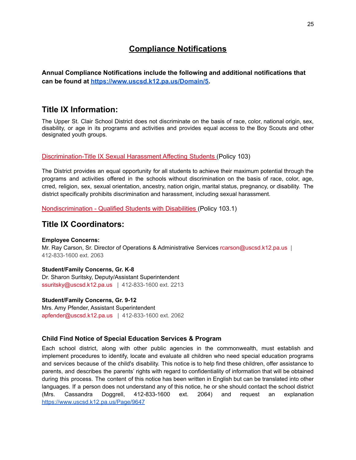# **Compliance Notifications**

**Annual Compliance Notifications include the following and additional notifications that can be found at [https://www.uscsd.k12.pa.us/Domain/5.](https://www.uscsd.k12.pa.us/Domain/5)**

# **Title IX Information:**

The Upper St. Clair School District does not discriminate on the basis of race, color, national origin, sex, disability, or age in its programs and activities and provides equal access to the Boy Scouts and other designated youth groups.

#### [Discrimination-Title](https://www.uscsd.k12.pa.us/cms/lib/PA01000033/Centricity/Domain/17/103%20-%20Discrimination-Title%20IX%20Sexual%20Harassment%20Affecting%20Students.pdf) IX Sexual Harassment Affecting Students (Policy 103)

The District provides an equal opportunity for all students to achieve their maximum potential through the programs and activities offered in the schools without discrimination on the basis of race, color, age, crred, religion, sex, sexual orientation, ancestry, nation origin, marital status, pregnancy, or disability. The district specifically prohibits discrimination and harassment, including sexual harassment.

[Nondiscrimination](https://www.uscsd.k12.pa.us/cms/lib/PA01000033/Centricity/Domain/17/103.1%20-%20Nondiscrimination%20-%20Qualified%20Students%20with%20Disabilities.pdf) - Qualified Students with Disabilities (Policy 103.1)

## **Title IX Coordinators:**

#### **Employee Concerns:**

Mr. Ray Carson, Sr. Director of Operations & Administrative Services rcarson@uscsd.k12.pa.us | 412-833-1600 ext. 2063

#### **Student/Family Concerns, Gr. K-8**

Dr. Sharon Suritsky, Deputy/Assistant Superintendent ssuritsky@uscsd.k12.pa.us | 412-833-1600 ext. 2213

#### **Student/Family Concerns, Gr. 9-12**

Mrs. Amy Pfender, Assistant Superintendent apfender@uscsd.k12.pa.us | 412-833-1600 ext. 2062

#### **Child Find Notice of Special Education Services & Program**

Each school district, along with other public agencies in the commonwealth, must establish and implement procedures to identify, locate and evaluate all children who need special education programs and services because of the child's disability. This notice is to help find these children, offer assistance to parents, and describes the parents' rights with regard to confidentiality of information that will be obtained during this process. The content of this notice has been written in English but can be translated into other languages. If a person does not understand any of this notice, he or she should contact the school district (Mrs. Cassandra Doggrell, 412-833-1600 ext. 2064) and request an explanation <https://www.uscsd.k12.pa.us/Page/9647>